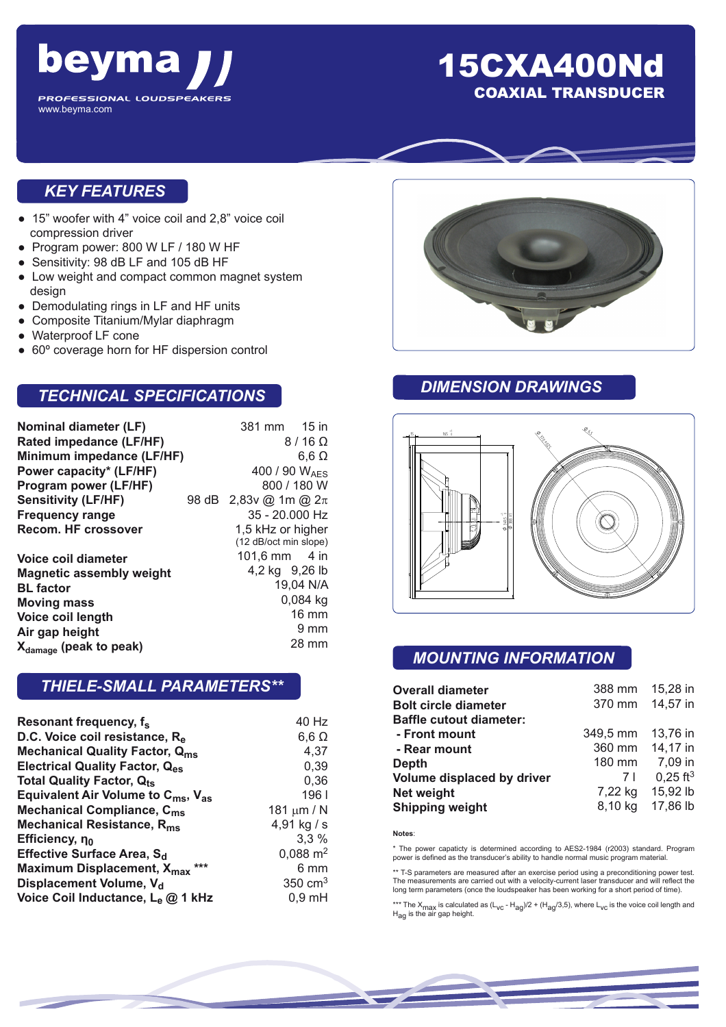

## 15CXA400Nd COAXIAL TRANSDUCER

## *KEY FEATURES*

- 15" woofer with 4" voice coil and 2,8" voice coil compression driver
- Program power: 800 W LF / 180 W HF
- Sensitivity: 98 dB LF and 105 dB HF
- Low weight and compact common magnet system design
- Demodulating rings in LF and HF units
- Composite Titanium/Mylar diaphragm
- Waterproof LF cone
- 60° coverage horn for HF dispersion control

## *TECHNICAL SPECIFICATIONS*

| Nominal diameter (LF)              |       | 381 mm 15 in              |              |  |
|------------------------------------|-------|---------------------------|--------------|--|
| Rated impedance (LF/HF)            |       | $8/16 \Omega$             |              |  |
| Minimum impedance (LF/HF)          |       |                           | $6,6 \Omega$ |  |
| Power capacity* (LF/HF)            |       | 400 / 90 W <sub>AFS</sub> |              |  |
| Program power (LF/HF)              |       |                           | 800 / 180 W  |  |
| <b>Sensitivity (LF/HF)</b>         | 98 dB | 2,83v @ 1m @ $2\pi$       |              |  |
| <b>Frequency range</b>             |       | 35 - 20.000 Hz            |              |  |
| <b>Recom. HF crossover</b>         |       | 1,5 kHz or higher         |              |  |
|                                    |       | (12 dB/oct min slope)     |              |  |
| Voice coil diameter                |       | 101,6 mm $-4$ in          |              |  |
| <b>Magnetic assembly weight</b>    |       | 4,2 kg 9,26 lb            |              |  |
| <b>BL</b> factor                   |       |                           | 19,04 N/A    |  |
| <b>Moving mass</b>                 |       |                           | $0,084$ kg   |  |
| Voice coil length                  |       |                           | 16 mm        |  |
| Air gap height                     |       |                           | 9 mm         |  |
| X <sub>damage</sub> (peak to peak) |       |                           | 28 mm        |  |

#### *THIELE-SMALL PARAMETERS\*\**

| Resonant frequency, f <sub>s</sub>                         | 40 Hz               |
|------------------------------------------------------------|---------------------|
| D.C. Voice coil resistance, Re                             | $6,6 \Omega$        |
| <b>Mechanical Quality Factor, Qms</b>                      | 4,37                |
| <b>Electrical Quality Factor, Qes</b>                      | 0,39                |
| <b>Total Quality Factor, Qts</b>                           | 0,36                |
| Equivalent Air Volume to $C_{\text{ms}}$ , $V_{\text{as}}$ | 1961                |
| <b>Mechanical Compliance, C<sub>ms</sub></b>               | 181 $\mu$ m / N     |
| Mechanical Resistance, R <sub>ms</sub>                     | 4,91 kg / s         |
| Efficiency, no                                             | 3,3%                |
| Effective Surface Area, S <sub>d</sub>                     | $0,088 \text{ m}^2$ |
| Maximum Displacement, X <sub>max</sub> ***                 | 6 mm                |
| Displacement Volume, V <sub>d</sub>                        | $350 \text{ cm}^3$  |
| Voice Coil Inductance, Le @ 1 kHz                          | $0,9$ mH            |



### *DIMENSION DRAWINGS*



## *MOUNTING INFORMATION*

| <b>Overall diameter</b>        | 388 mm   | 15,28 in               |
|--------------------------------|----------|------------------------|
| <b>Bolt circle diameter</b>    | 370 mm   | 14,57 in               |
| <b>Baffle cutout diameter:</b> |          |                        |
| - Front mount                  | 349,5 mm | 13,76 in               |
| - Rear mount                   | 360 mm   | 14,17 in               |
| <b>Depth</b>                   | 180 mm   | 7,09 in                |
| Volume displaced by driver     | 7 I      | $0.25$ ft <sup>3</sup> |
| <b>Net weight</b>              | 7,22 kg  | 15,92 lb               |
| <b>Shipping weight</b>         | 8,10 kg  | 17,86 lb               |

**Notes**:

\* The power capaticty is determined according to AES2-1984 (r2003) standard. Program power is defined as the transducer's ability to handle normal music program material.

\*\* T-S parameters are measured after an exercise period using a preconditioning power test. The measurements are carried out with a velocity-current laser transducer and will reflect the long term parameters (once the loudspeaker has been working for a short period of time).

\*\*\* The X<sub>max</sub> is calculated as (L<sub>VC</sub> - H<sub>ag</sub>)/2 + (H<sub>ag</sub>/3,5), where L<sub>VC</sub> is the voice coil length and<br>H<sub>ag</sub> is the air gap height.